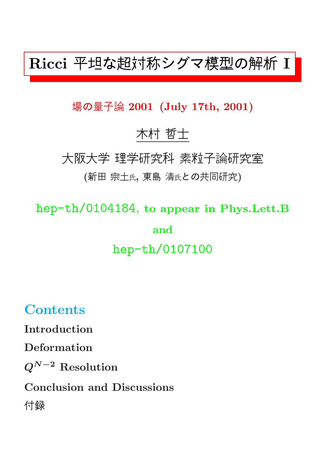# Ricci 平坦な超対称シグマ模型の解析 I

#### 場の量子論 2001 (July 17th, 2001)

## 木村 哲士

大阪大学 理学研究科 素粒子論研究室

#### (新田 宗土氏, 東島 清氏との共同研究)

hep-th/0104184, to appear in Phys.Lett.B and hep-th/0107100

## **Contents**

Introduction

Deformation

 $Q^{N-2}$  Resolution

Conclusion and Discussions

付録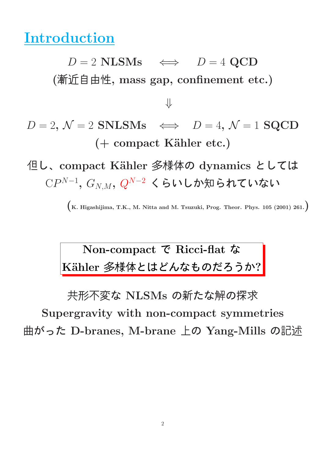## Introduction

 $D = 2$  NLSMs  $\iff$   $D = 4$  QCD (漸近自由性, mass gap, confinement etc.)

 $D = 2, \mathcal{N} = 2$  SNLSMs  $\iff D = 4, \mathcal{N} = 1$  SQCD (+ compact Kähler etc.)

⇓

但し、compact Kähler 多様体の dynamics としては  $\mathbb{C}P^{N-1},\ G_{N,M},\ Q^{N-2}\,$  くらいしか知られていない

 $\left(K. Higashijima, T.K., M. Nitta and M. Tsuzuki, Prog. Theor. Phys. 105 (2001) 261.\right)$ 

## Non-compact で Ricci-flat な Kähler 多様体とはどんなものだろうか?

共形不変な NLSMs の新たな解の探求 Supergravity with non-compact symmetries 曲がった D-branes, M-brane 上の Yang-Mills の記述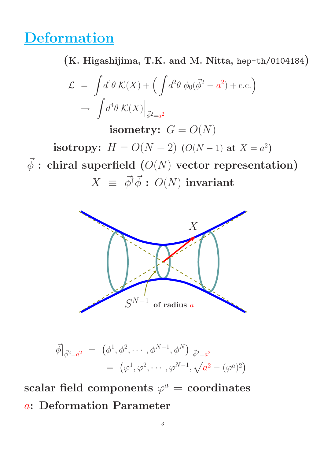# **Deformation**

(K. Higashijima, T.K. and M. Nitta, hep-th/0104184)

$$
\mathcal{L} = \int d^4 \theta \, \mathcal{K}(X) + \left( \int d^2 \theta \, \phi_0(\vec{\phi}^2 - a^2) + \text{c.c.} \right)
$$

$$
\to \int d^4 \theta \, \mathcal{K}(X) \Big|_{\vec{\phi}^2 = a^2}
$$

isometry:  $G = O(N)$ 

**isotropy:**  $H = O(N - 2)$  ( $O(N - 1)$  at  $X = a^2$ )

 $\vec{\phi}$  : chiral superfield  $(O(N)$  vector representation)  $X \equiv \vec{\phi}^{\dagger} \vec{\phi}$ :  $O(N)$  invariant



$$
\vec{\phi}|_{\vec{\phi}^2 = a^2} = (\phi^1, \phi^2, \cdots, \phi^{N-1}, \phi^N)|_{\vec{\phi}^2 = a^2}
$$
  
=  $(\varphi^1, \varphi^2, \cdots, \varphi^{N-1}, \sqrt{a^2 - (\varphi^a)^2})$ 

 $\mathrm{scalar}\ \mathsf{field}\ \mathsf{components}\ \varphi^a=\mathsf{coordinates}$ a: Deformation Parameter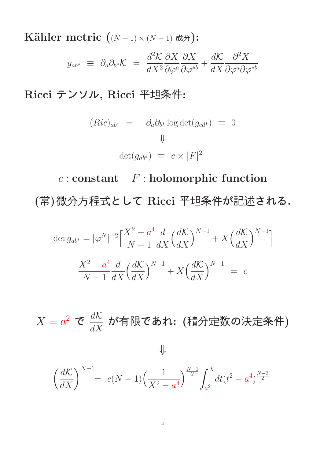Kähler metric  $((N-1) \times (N-1)$ 成分):  $g_{ab^*} \equiv \partial_a \partial_{b^*} \mathcal{K} =$  $d^2{\cal K}$  $dX^2$  $\partial X$  $\partial \varphi^a$  $\partial X$  $\partial\varphi^{*b}$  $+\frac{d\mathcal{K}}{d\mathbf{V}}$  $dX$  $\partial^2 X$  $\partial \varphi^a \partial \varphi^{*b}$ 

Ricci テンソル, Ricci 平坦条件:

$$
(Ric)_{ab^*} = -\partial_a \partial_{b^*} \log \det(g_{cd^*}) \equiv 0
$$
  

$$
\Downarrow
$$
  

$$
\det(g_{ab^*}) \equiv c \times |F|^2
$$

 $c$  : constant  $F$  : holomorphic function (常)微分方程式として Ricci 平坦条件が記述される.

$$
\det g_{ab^*} = |\varphi^N|^{-2} \left[ \frac{X^2 - a^4}{N - 1} \frac{d}{dX} \left( \frac{dK}{dX} \right)^{N - 1} + X \left( \frac{dK}{dX} \right)^{N - 1} \right]
$$

$$
\frac{X^2 - a^4}{N - 1} \frac{d}{dX} \left( \frac{dK}{dX} \right)^{N - 1} + X \left( \frac{dK}{dX} \right)^{N - 1} = c
$$

 $X=a^2$  で  $\frac{d\mathcal{K}}{dX}$  $\frac{d{\cal K}}{dX}$  が有限であれ: (積分定数の決定条件)

⇓

$$
\left(\frac{d\mathcal{K}}{dX}\right)^{N-1} = c(N-1)\left(\frac{1}{X^2 - a^4}\right)^{\frac{N-1}{2}} \int_{a^2}^X dt (t^2 - a^4)^{\frac{N-3}{2}}
$$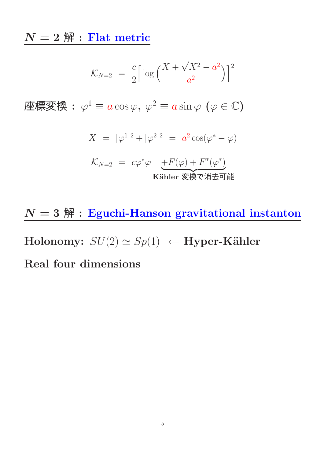$N=2$   $\mbox{\ss }\!\!\!\!\!\!\!\!/\,\,$  : Flat metric

$$
\mathcal{K}_{N=2} = \frac{c}{2} \left[ \log \left( \frac{X + \sqrt{X^2 - a^2}}{a^2} \right) \right]^2
$$

座標変換: $\varphi^1 \equiv a \cos \varphi, \, \varphi^2 \equiv a \sin \varphi \, \left( \varphi \in \mathbb{C} \right)$ 

$$
X = |\varphi^{1}|^{2} + |\varphi^{2}|^{2} = a^{2} \cos(\varphi^{*} - \varphi)
$$

$$
\mathcal{K}_{N=2} = c\varphi^*\varphi \underbrace{+F(\varphi) + F^*(\varphi^*)}_{\text{Kähler} \ \overline{\mathcal{K}}\ \overline{\mathcal{K}}\ \overline{\mathcal{K}}\ \overline{\mathcal{K}}\ \overline{\mathcal{K}}\ \overline{\mathcal{K}}\ \overline{\mathcal{K}}}
$$

 $N=3$   $\mbox{\sl \AA}$  : Eguchi-Hanson gravitational instanton

Holonomy:  $SU(2) \simeq Sp(1) \leftarrow$  Hyper-Kähler

#### Real four dimensions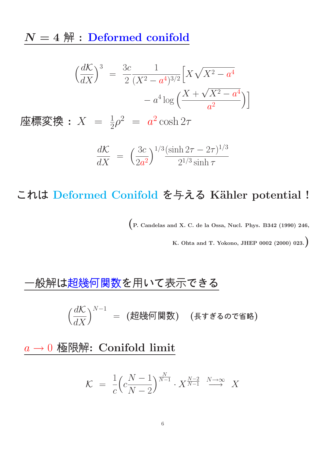$N = 4$   $\mathbb{H}$  : Deformed conifold

$$
\left(\frac{dK}{dX}\right)^3 = \frac{3c}{2} \frac{1}{(X^2 - a^4)^{3/2}} \left[X\sqrt{X^2 - a^4}\right] - a^4 \log\left(\frac{X + \sqrt{X^2 - a^4}}{a^2}\right)
$$
\n
$$
\mathbf{E} = \frac{1}{2}\rho^2 = a^2 \cosh 2\tau
$$

$$
\frac{d\mathcal{K}}{dX} = \left(\frac{3c}{2a^2}\right)^{1/3} \frac{(\sinh 2\tau - 2\tau)^{1/3}}{2^{1/3}\sinh \tau}
$$

これは Deformed Conifold を与える Kähler potential !

(P. Candelas and X. C. de la Ossa, Nucl. Phys. B342 (1990) 246,

K. Ohta and T. Yokono, JHEP 0002 (2000) 023.)

#### 一般解は超幾何関数を用いて表示できる

 $\int \frac{d\mathcal{K}}{d\mathcal{K}}$  $dX$  $\big)^{N-1}$   $=$   $\big($ 超幾何関数)  $\quad$  (長すぎるので省略)

 $a \rightarrow 0$  極限解: Conifold limit

$$
\mathcal{K} = \frac{1}{c} \left( c \frac{N-1}{N-2} \right)^{\frac{N}{N-1}} \cdot X^{\frac{N-2}{N-1}} \xrightarrow{N \to \infty} X
$$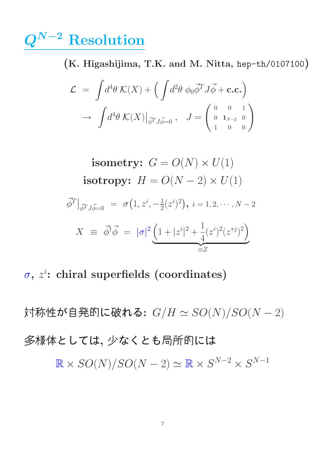# $\mathcal{Q}^{N-2}$  Resolution

(K. Higashijima, T.K. and M. Nitta, hep-th/0107100)

$$
\mathcal{L} = \int d^4 \theta \, \mathcal{K}(X) + \left( \int d^2 \theta \, \phi_0 \vec{\phi}^T J \vec{\phi} + \mathbf{c.c.} \right)
$$

$$
\to \int d^4 \theta \, \mathcal{K}(X) \big|_{\vec{\phi}^T J \vec{\phi} = 0} , \quad J = \begin{pmatrix} 0 & 0 & 1 \\ 0 & 1_{N-2} & 0 \\ 1 & 0 & 0 \end{pmatrix}
$$

isometry: 
$$
G = O(N) \times U(1)
$$
\nisotropy:  $H = O(N - 2) \times U(1)$ \n $\vec{\phi}^T|_{\vec{\phi}^T J \vec{\phi} = 0} = \sigma(1, z^i, -\frac{1}{2}(z^i)^2), \quad i = 1, 2, \dots, N - 2$ \n $X \equiv \vec{\phi}^{\dagger} \vec{\phi} = |\sigma|^2 \underbrace{\left(1 + |z^i|^2 + \frac{1}{4}(z^i)^2 (z^{*j})^2\right)}_{\equiv Z}$ 

 $\sigma$ ,  $z^i$ : chiral superfields (coordinates)

対称性が自発的に破れる:  $G/H \simeq SO(N)/SO(N-2)$ 多様体としては, 少なくとも局所的には  $\mathbb{R} \times SO(N)/SO(N-2) \simeq \mathbb{R} \times S^{N-2} \times S^{N-1}$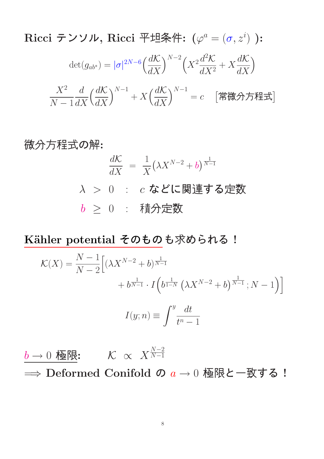$\rm Ricci$  テンソル,  $\rm Ricci$  平坦条件:  $(\varphi^a=(\sigma,z^i)$  ):  $\det(g_{ab^*}) = |\sigma|^{2N-6} \Big(\frac{d\mathcal{K}}{dX}\Big)$  $dX$  $\int^{N-2} \left( X^2 \frac{d^2 \mathcal{K}}{d x^2} \right)$  $dX^2$  $+ X \frac{d\mathcal{K}}{dx}$  $dX$  $\setminus$  $X^2$  $N-1$  $\overline{d}$  $dX$  $\int \frac{d\mathcal{K}}{d\mathcal{K}}$  $dX$  $\int^{N-1} + X \left( \frac{d\mathcal{K}}{dX} \right)$  $dX$  $\big)^{N-1} = c \quad \left[$ 常微分方程式 $\right]$ 

微分方経式の解:  
\n
$$
\frac{d\mathcal{K}}{dX} = \frac{1}{X} (\lambda X^{N-2} + b)^{\frac{1}{N-1}}
$$
\n
$$
\lambda > 0 : c \& \text{に関連する定数}
$$
\n
$$
b \geq 0 : \text{ 琜分定数}
$$

Kähler potential そのものも求められる!

$$
\mathcal{K}(X) = \frac{N-1}{N-2} \Big[ (\lambda X^{N-2} + b)^{\frac{1}{N-1}} + b^{\frac{1}{N-1}} \cdot I \Big( b^{\frac{1}{1-N}} \left( \lambda X^{N-2} + b \right)^{\frac{1}{N-1}}; N-1 \Big) \Big]
$$

$$
I(y; n) \equiv \int^y \frac{dt}{t^n - 1}
$$

 $b \rightarrow 0$  極限:  $\frac{N-2}{N}$  $N-1$  $\implies$  Deformed Conifold の  $a \to 0$  極限と一致する !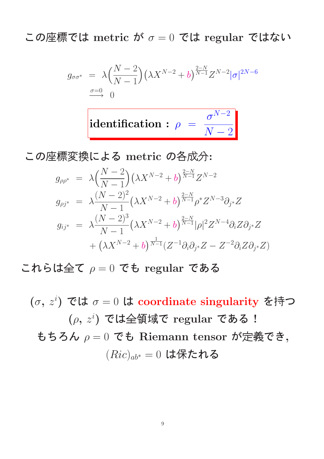この座標では metric が  $\sigma = 0$  では regular ではない

$$
g_{\sigma\sigma^*} = \lambda \left(\frac{N-2}{N-1}\right) \left(\lambda X^{N-2} + b\right)^{\frac{2-N}{N-1}} Z^{N-2} |\sigma|^{2N-6}
$$
  

$$
\frac{\sigma=0}{\sigma} 0
$$
  
identification:  $\rho = \frac{\sigma^{N-2}}{N-2}$ 

この座標変換による metric の各成分:

$$
g_{\rho\rho^*} = \lambda \left(\frac{N-2}{N-1}\right) \left(\lambda X^{N-2} + b\right)^{\frac{2-N}{N-1}} Z^{N-2}
$$
  
\n
$$
g_{\rho j^*} = \lambda \frac{(N-2)^2}{N-1} \left(\lambda X^{N-2} + b\right)^{\frac{2-N}{N-1}} \rho^* Z^{N-3} \partial_{j^*} Z
$$
  
\n
$$
g_{ij^*} = \lambda \frac{(N-2)^3}{N-1} \left(\lambda X^{N-2} + b\right)^{\frac{2-N}{N-1}} |\rho|^2 Z^{N-4} \partial_i Z \partial_{j^*} Z
$$
  
\n
$$
+ \left(\lambda X^{N-2} + b\right)^{\frac{1}{N-1}} \left(Z^{-1} \partial_i \partial_{j^*} Z - Z^{-2} \partial_i Z \partial_{j^*} Z\right)
$$

これらは全て  $\rho = 0$  でも regular である

 $(\sigma, z^i)$  では  $\sigma = 0$  は coordinate singularity を持つ  $(\rho, z^i)$  では全領域で regular である! もちろん  $\rho = 0$  でも Riemann tensor が定義でき,  $(Ric)_{ab^*} = 0$  は保たれる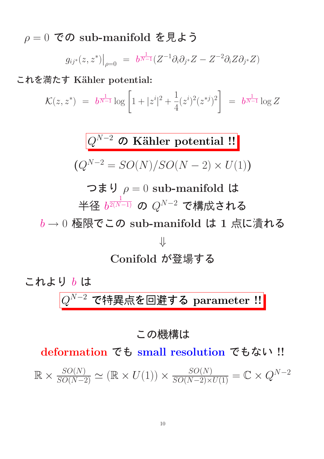$\rho = 0$  での sub-manifold を見よう

$$
g_{ij^*}(z, z^*)\big|_{\rho=0} = b^{\frac{1}{N-1}} (Z^{-1} \partial_i \partial_{j^*} Z - Z^{-2} \partial_i Z \partial_{j^*} Z)
$$

これを満たす Kähler potential:

$$
\mathcal{K}(z, z^*) = b^{\frac{1}{N-1}} \log \left[ 1 + |z^i|^2 + \frac{1}{4} (z^i)^2 (z^{*j})^2 \right] = b^{\frac{1}{N-1}} \log Z
$$

 $Q^{N-2}$  の Kähler potential !!  $(Q^{N-2} = SO(N)/SO(N-2) \times U(1))$ 

つまり  $\rho = 0$  sub-manifold は 半径  $b$  $\frac{1}{2(N-1)}$  の  $Q^{N-2}$  で構成される  $b \rightarrow 0$  極限でこの sub-manifold は 1 点に潰れる ⇓ Conifold が登場する

**これより b は**\n
$$
Q^{N-2} \cdot \widehat{C}}
$$
特異点を回選する parameter **!!**

#### この機構は

deformation でも small resolution でもない !!

 $\mathbb{R} \times \frac{SO(N)}{SO(N-2)} \simeq (\mathbb{R} \times U(1)) \times \frac{SO(N)}{SO(N-2) \times U(1)} = \mathbb{C} \times Q^{N-2}$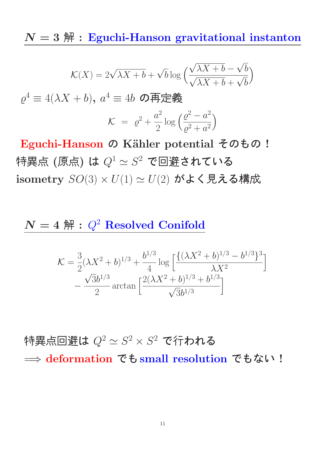$N=3$   $\mathbb{H}$  : Eguchi-Hanson gravitational instanton

$$
\mathcal{K}(X) = 2\sqrt{\lambda X + b} + \sqrt{b} \log \left( \frac{\sqrt{\lambda X + b} - \sqrt{b}}{\sqrt{\lambda X + b} + \sqrt{b}} \right)
$$

$$
\varrho^4 \equiv 4(\lambda X + b), \ a^4 \equiv 4b \ \mathbf{ORF} \mathbf{R} \mathbf{R}
$$

$$
\mathcal{K} = \varrho^2 + \frac{a^2}{2} \log \left( \frac{\varrho^2 - a^2}{\varrho^2 + a^2} \right)
$$

Eguchi-Hanson の Kähler potential そのもの! 特異点 (原点) は  $Q^1 \simeq S^2$  で回避されている isometry  $SO(3) \times U(1) \simeq U(2)$  がよく見える構成

#### $N = 4$   $\mathbb{H}$  :  $Q^2$  Resolved Conifold

$$
\mathcal{K} = \frac{3}{2} (\lambda X^2 + b)^{1/3} + \frac{b^{1/3}}{4} \log \left[ \frac{\{ (\lambda X^2 + b)^{1/3} - b^{1/3} \}^3}{\lambda X^2} \right] - \frac{\sqrt{3}b^{1/3}}{2} \arctan \left[ \frac{2(\lambda X^2 + b)^{1/3} + b^{1/3}}{\sqrt{3}b^{1/3}} \right]
$$

特異点回避は  $Q^2 \simeq S^2 \times S^2$  で行われる =⇒ deformation でもsmall resolution でもない !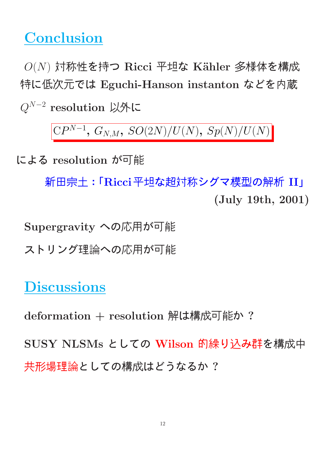# **Conclusion**

 $O(N)$  対称性を持つ Ricci 平坦な Kähler 多様体を構成 特に低次元では Eguchi-Hanson instanton などを内蔵  $Q^{N-2}$  resolution 以外に

 $CP^{N-1}$ ,  $G_{N,M}$ ,  $SO(2N)/U(N)$ ,  $Sp(N)/U(N)$ 

による resolution が可能

新田宗土:「Ricci平坦な超対称シグマ模型の解析 II」 (July 19th, 2001)

Supergravity への応用が可能

ストリング理論への応用が可能

# **Discussions**

deformation + resolution 解は構成可能か?

SUSY NLSMs としての Wilson 的繰り込み群を構成中 共形場理論としての構成はどうなるか ?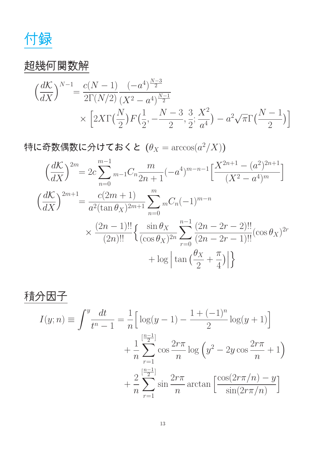付録

### 超幾何関数解

$$
\left(\frac{dK}{dX}\right)^{N-1} = \frac{c(N-1)}{2\Gamma(N/2)} \frac{(-a^4)^{\frac{N-3}{2}}}{(X^2 - a^4)^{\frac{N-1}{2}}} \times \left[2X\Gamma\left(\frac{N}{2}\right)F\left(\frac{1}{2}, -\frac{N-3}{2}, \frac{3}{2}; \frac{X^2}{a^4}\right) - a^2\sqrt{\pi}\Gamma\left(\frac{N-1}{2}\right)\right]
$$

特に奇数偶数に分けておくと  $(\theta_X=\arccos(a^2/X))$ 

$$
\left(\frac{dK}{dX}\right)^{2m} = 2c \sum_{n=0}^{m-1} {}_{m-1}C_n \frac{m}{2n+1}(-a^4)^{m-n-1} \left[\frac{X^{2n+1} - (a^2)^{2n+1}}{(X^2 - a^4)^m}\right]
$$

$$
\left(\frac{dK}{dX}\right)^{2m+1} = \frac{c(2m+1)}{a^2(\tan \theta_X)^{2m+1}} \sum_{n=0}^{m} {}_{n}C_n(-1)^{m-n}
$$

$$
\times \frac{(2n-1)!!}{(2n)!!} \left\{\frac{\sin \theta_X}{(\cos \theta_X)^{2n}} \sum_{r=0}^{n-1} \frac{(2n-2r-2)!!}{(2n-2r-1)!!} (\cos \theta_X)^{2r} + \log \left|\tan \left(\frac{\theta_X}{2} + \frac{\pi}{4}\right)\right|\right\}
$$

$$
\begin{aligned}\n\overrightarrow{f} \cdot \overrightarrow{f} \cdot \overrightarrow{f} &= \int_{0}^{y} \frac{dt}{t^n - 1} = \frac{1}{n} \Big[ \log(y - 1) - \frac{1 + (-1)^n}{2} \log(y + 1) \Big] \\
&+ \frac{1}{n} \sum_{r=1}^{\lfloor \frac{n-1}{2} \rfloor} \cos \frac{2r\pi}{n} \log \left( y^2 - 2y \cos \frac{2r\pi}{n} + 1 \right) \\
&+ \frac{2}{n} \sum_{r=1}^{\lfloor \frac{n-1}{2} \rfloor} \sin \frac{2r\pi}{n} \arctan \left[ \frac{\cos(2r\pi/n) - y}{\sin(2r\pi/n)} \right]\n\end{aligned}
$$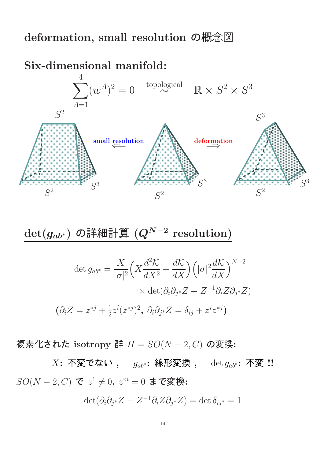#### deformation, small resolution の概念図

#### Six-dimensional manifold:



 $\det(g_{ab^*})$  の詳細計算  $(Q^{N-2} \; \mathrm{resolution})$ 

$$
\det g_{ab^*} = \frac{X}{|\sigma|^2} \Big( X \frac{d^2 \mathcal{K}}{dX^2} + \frac{d\mathcal{K}}{dX} \Big) \Big( |\sigma|^2 \frac{d\mathcal{K}}{dX} \Big)^{N-2}
$$

$$
\times \det(\partial_i \partial_{j^*} Z - Z^{-1} \partial_i Z \partial_{j^*} Z)
$$

$$
(\partial_i Z = z^{*j} + \frac{1}{2} z^i (z^{*j})^2, \ \partial_i \partial_{j^*} Z = \delta_{ij} + z^i z^{*j})
$$

複素化された isotropy 群 H = SO(N − 2, C) の変換:

 $X$ : 不変でない,  $g_{ab}$ \*: 線形変換,  $\det g_{ab}$ \*: 不変 !!  $SO(N-2, C)$  で  $z^1 \neq 0, z^m = 0$  まで変換:

$$
\det(\partial_i \partial_{j^*} Z - Z^{-1} \partial_i Z \partial_{j^*} Z) = \det \delta_{ij^*} = 1
$$